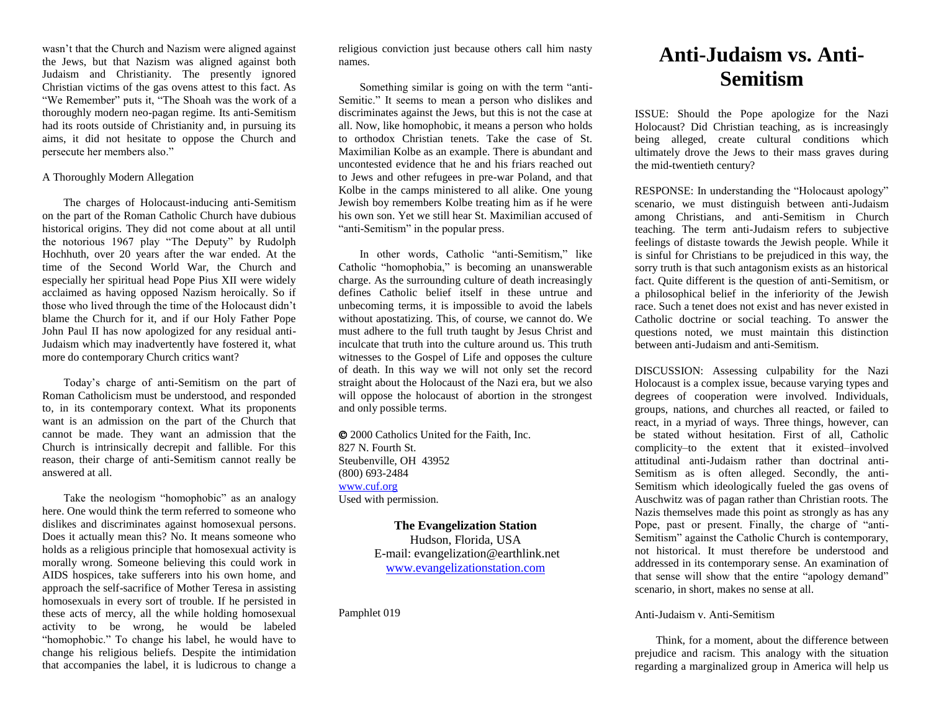wasn't that the Church and Nazism were aligned against the Jews, but that Nazism was aligned against both Judaism and Christianity. The presently ignored Christian victims of the gas ovens attest to this fact. As "We Remember" puts it, "The Shoah was the work of a thoroughly modern neo-pagan regime. Its anti-Semitism had its roots outside of Christianity and, in pursuing its aims, it did not hesitate to oppose the Church and persecute her members also."

## A Thoroughly Modern Allegation

The charges of Holocaust-inducing anti-Semitism on the part of the Roman Catholic Church have dubious historical origins. They did not come about at all until the notorious 1967 play "The Deputy" by Rudolph Hochhuth, over 20 years after the war ended. At the time of the Second World War, the Church and especially her spiritual head Pope Pius XII were widely acclaimed as having opposed Nazism heroically. So if those who lived through the time of the Holocaust didn't blame the Church for it, and if our Holy Father Pope John Paul II has now apologized for any residual anti-Judaism which may inadvertently have fostered it, what more do contemporary Church critics want?

Today's charge of anti-Semitism on the part of Roman Catholicism must be understood, and responded to, in its contemporary context. What its proponents want is an admission on the part of the Church that cannot be made. They want an admission that the Church is intrinsically decrepit and fallible. For this reason, their charge of anti-Semitism cannot really be answered at all.

Take the neologism "homophobic" as an analogy here. One would think the term referred to someone who dislikes and discriminates against homosexual persons. Does it actually mean this? No. It means someone who holds as a religious principle that homosexual activity is morally wrong. Someone believing this could work in AIDS hospices, take sufferers into his own home, and approach the self-sacrifice of Mother Teresa in assisting homosexuals in every sort of trouble. If he persisted in these acts of mercy, all the while holding homosexual activity to be wrong, he would be labeled "homophobic." To change his label, he would have to change his religious beliefs. Despite the intimidation that accompanies the label, it is ludicrous to change a religious conviction just because others call him nasty names.

Something similar is going on with the term "anti-Semitic." It seems to mean a person who dislikes and discriminates against the Jews, but this is not the case at all. Now, like homophobic, it means a person who holds to orthodox Christian tenets. Take the case of St. Maximilian Kolbe as an example. There is abundant and uncontested evidence that he and his friars reached out to Jews and other refugees in pre-war Poland, and that Kolbe in the camps ministered to all alike. One young Jewish boy remembers Kolbe treating him as if he were his own son. Yet we still hear St. Maximilian accused of "anti-Semitism" in the popular press.

In other words, Catholic "anti-Semitism," like Catholic "homophobia," is becoming an unanswerable charge. As the surrounding culture of death increasingly defines Catholic belief itself in these untrue and unbecoming terms, it is impossible to avoid the labels without apostatizing. This, of course, we cannot do. We must adhere to the full truth taught by Jesus Christ and inculcate that truth into the culture around us. This truth witnesses to the Gospel of Life and opposes the culture of death. In this way we will not only set the record straight about the Holocaust of the Nazi era, but we also will oppose the holocaust of abortion in the strongest and only possible terms.

 2000 Catholics United for the Faith, Inc. 827 N. Fourth St. Steubenville, OH 43952 (800) 693-2484 [www.cuf.org](http://www.cuf.org/) Used with permission.

> **The Evangelization Station** Hudson, Florida, USA E-mail: evangelization@earthlink.net [www.evangelizationstation.com](http://www.pjpiisoe.org/)

Pamphlet 019

## **Anti-Judaism vs. Anti-Semitism**

ISSUE: Should the Pope apologize for the Nazi Holocaust? Did Christian teaching, as is increasingly being alleged, create cultural conditions which ultimately drove the Jews to their mass graves during the mid-twentieth century?

RESPONSE: In understanding the "Holocaust apology" scenario, we must distinguish between anti-Judaism among Christians, and anti-Semitism in Church teaching. The term anti-Judaism refers to subjective feelings of distaste towards the Jewish people. While it is sinful for Christians to be prejudiced in this way, the sorry truth is that such antagonism exists as an historical fact. Quite different is the question of anti-Semitism, or a philosophical belief in the inferiority of the Jewish race. Such a tenet does not exist and has never existed in Catholic doctrine or social teaching. To answer the questions noted, we must maintain this distinction between anti-Judaism and anti-Semitism.

DISCUSSION: Assessing culpability for the Nazi Holocaust is a complex issue, because varying types and degrees of cooperation were involved. Individuals, groups, nations, and churches all reacted, or failed to react, in a myriad of ways. Three things, however, can be stated without hesitation. First of all, Catholic complicity–to the extent that it existed–involved attitudinal anti-Judaism rather than doctrinal anti-Semitism as is often alleged. Secondly, the anti-Semitism which ideologically fueled the gas ovens of Auschwitz was of pagan rather than Christian roots. The Nazis themselves made this point as strongly as has any Pope, past or present. Finally, the charge of "anti-Semitism" against the Catholic Church is contemporary, not historical. It must therefore be understood and addressed in its contemporary sense. An examination of that sense will show that the entire "apology demand" scenario, in short, makes no sense at all.

## Anti-Judaism v. Anti-Semitism

Think, for a moment, about the difference between prejudice and racism. This analogy with the situation regarding a marginalized group in America will help us